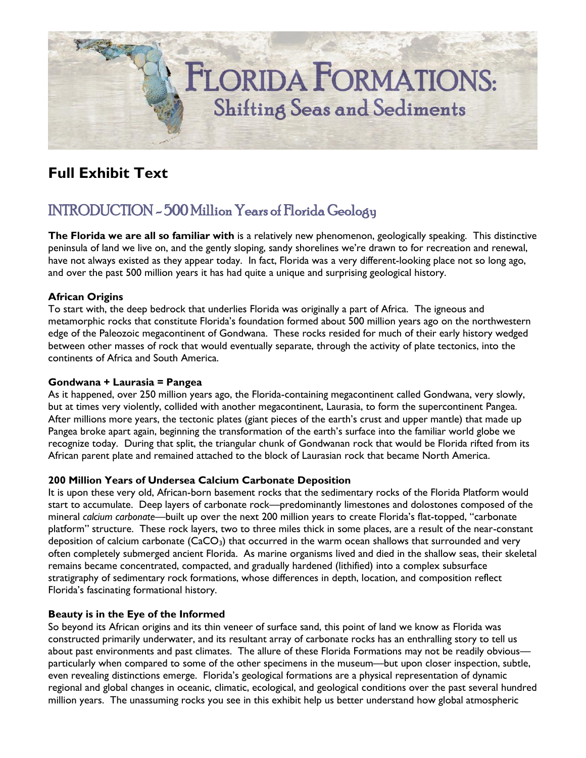# **FLORIDA FORMATIONS: Shifting Seas and Sediments**

# **Full Exhibit Text**

# INTRODUCTION - 500 Million Years of Florida Geology

**The Florida we are all so familiar with** is a relatively new phenomenon, geologically speaking. This distinctive peninsula of land we live on, and the gently sloping, sandy shorelines we're drawn to for recreation and renewal, have not always existed as they appear today. In fact, Florida was a very different-looking place not so long ago, and over the past 500 million years it has had quite a unique and surprising geological history.

#### **African Origins**

To start with, the deep bedrock that underlies Florida was originally a part of Africa. The igneous and metamorphic rocks that constitute Florida's foundation formed about 500 million years ago on the northwestern edge of the Paleozoic megacontinent of Gondwana. These rocks resided for much of their early history wedged between other masses of rock that would eventually separate, through the activity of plate tectonics, into the continents of Africa and South America.

#### **Gondwana + Laurasia = Pangea**

As it happened, over 250 million years ago, the Florida-containing megacontinent called Gondwana, very slowly, but at times very violently, collided with another megacontinent, Laurasia, to form the supercontinent Pangea. After millions more years, the tectonic plates (giant pieces of the earth's crust and upper mantle) that made up Pangea broke apart again, beginning the transformation of the earth's surface into the familiar world globe we recognize today. During that split, the triangular chunk of Gondwanan rock that would be Florida rifted from its African parent plate and remained attached to the block of Laurasian rock that became North America.

#### **200 Million Years of Undersea Calcium Carbonate Deposition**

It is upon these very old, African-born basement rocks that the sedimentary rocks of the Florida Platform would start to accumulate. Deep layers of carbonate rock—predominantly limestones and dolostones composed of the mineral *calcium carbonate*—built up over the next 200 million years to create Florida's flat-topped, "carbonate platform" structure. These rock layers, two to three miles thick in some places, are a result of the near-constant deposition of calcium carbonate  $(CaCO<sub>3</sub>)$  that occurred in the warm ocean shallows that surrounded and very often completely submerged ancient Florida. As marine organisms lived and died in the shallow seas, their skeletal remains became concentrated, compacted, and gradually hardened (lithified) into a complex subsurface stratigraphy of sedimentary rock formations, whose differences in depth, location, and composition reflect Florida's fascinating formational history.

#### **Beauty is in the Eye of the Informed**

So beyond its African origins and its thin veneer of surface sand, this point of land we know as Florida was constructed primarily underwater, and its resultant array of carbonate rocks has an enthralling story to tell us about past environments and past climates. The allure of these Florida Formations may not be readily obvious particularly when compared to some of the other specimens in the museum—but upon closer inspection, subtle, even revealing distinctions emerge. Florida's geological formations are a physical representation of dynamic regional and global changes in oceanic, climatic, ecological, and geological conditions over the past several hundred million years. The unassuming rocks you see in this exhibit help us better understand how global atmospheric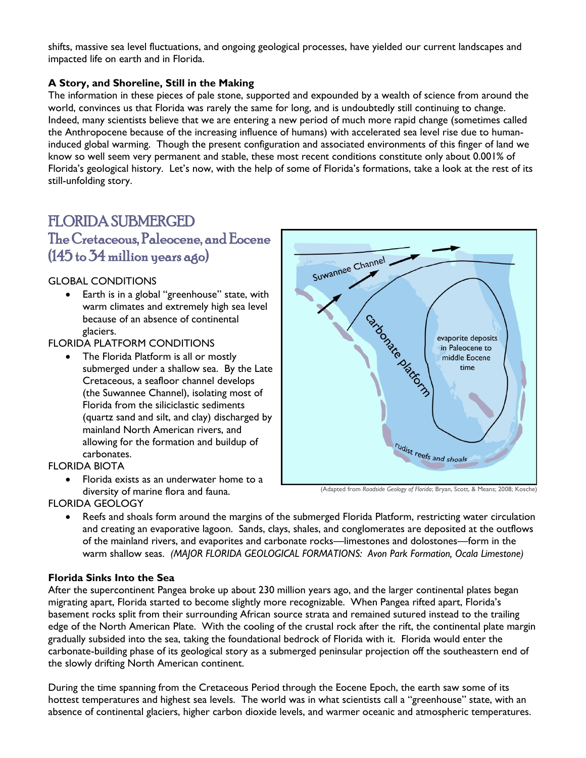shifts, massive sea level fluctuations, and ongoing geological processes, have yielded our current landscapes and impacted life on earth and in Florida.

#### **A Story, and Shoreline, Still in the Making**

The information in these pieces of pale stone, supported and expounded by a wealth of science from around the world, convinces us that Florida was rarely the same for long, and is undoubtedly still continuing to change. Indeed, many scientists believe that we are entering a new period of much more rapid change (sometimes called the Anthropocene because of the increasing influence of humans) with accelerated sea level rise due to humaninduced global warming. Though the present configuration and associated environments of this finger of land we know so well seem very permanent and stable, these most recent conditions constitute only about 0.001% of Florida's geological history. Let's now, with the help of some of Florida's formations, take a look at the rest of its still-unfolding story.

### FLORIDA SUBMERGED

The Cretaceous, Paleocene, and Eocene (145 to 34 million years ago)

#### GLOBAL CONDITIONS

 Earth is in a global "greenhouse" state, with warm climates and extremely high sea level because of an absence of continental glaciers.

#### FLORIDA PLATFORM CONDITIONS

• The Florida Platform is all or mostly submerged under a shallow sea. By the Late Cretaceous, a seafloor channel develops (the Suwannee Channel), isolating most of Florida from the siliciclastic sediments (quartz sand and silt, and clay) discharged by mainland North American rivers, and allowing for the formation and buildup of carbonates.

**FLORIDA BIOTA** 

 Florida exists as an underwater home to a diversity of marine flora and fauna.



(Adapted from *Roadside Geology of Florida*; Bryan, Scott, & Means; 2008; Kosche)

FLORIDA GEOLOGY

 Reefs and shoals form around the margins of the submerged Florida Platform, restricting water circulation and creating an evaporative lagoon. Sands, clays, shales, and conglomerates are deposited at the outflows of the mainland rivers, and evaporites and carbonate rocks—limestones and dolostones—form in the warm shallow seas. *(MAJOR FLORIDA GEOLOGICAL FORMATIONS: Avon Park Formation, Ocala Limestone)*

#### **Florida Sinks Into the Sea**

After the supercontinent Pangea broke up about 230 million years ago, and the larger continental plates began migrating apart, Florida started to become slightly more recognizable. When Pangea rifted apart, Florida's basement rocks split from their surrounding African source strata and remained sutured instead to the trailing edge of the North American Plate. With the cooling of the crustal rock after the rift, the continental plate margin gradually subsided into the sea, taking the foundational bedrock of Florida with it. Florida would enter the carbonate-building phase of its geological story as a submerged peninsular projection off the southeastern end of the slowly drifting North American continent.

During the time spanning from the Cretaceous Period through the Eocene Epoch, the earth saw some of its hottest temperatures and highest sea levels. The world was in what scientists call a "greenhouse" state, with an absence of continental glaciers, higher carbon dioxide levels, and warmer oceanic and atmospheric temperatures.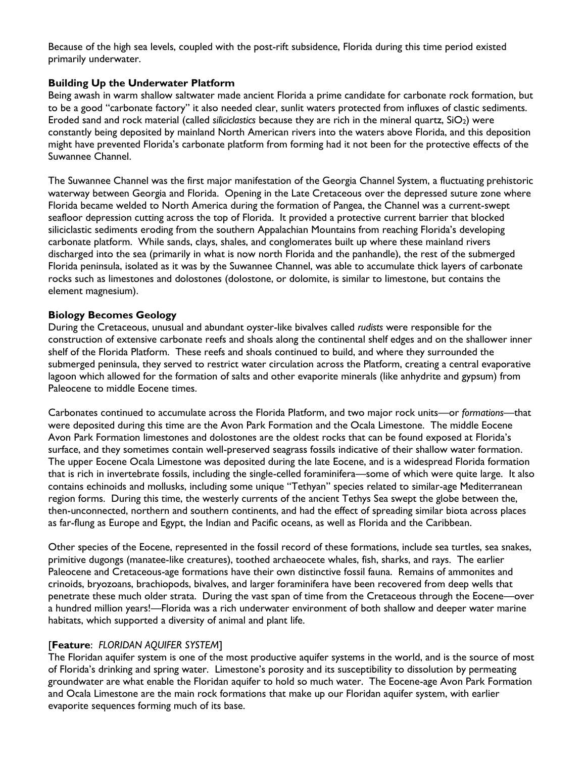Because of the high sea levels, coupled with the post-rift subsidence, Florida during this time period existed primarily underwater.

#### **Building Up the Underwater Platform**

Being awash in warm shallow saltwater made ancient Florida a prime candidate for carbonate rock formation, but to be a good "carbonate factory" it also needed clear, sunlit waters protected from influxes of clastic sediments. Eroded sand and rock material (called *siliciclastics* because they are rich in the mineral quartz, SiO2) were constantly being deposited by mainland North American rivers into the waters above Florida, and this deposition might have prevented Florida's carbonate platform from forming had it not been for the protective effects of the Suwannee Channel.

The Suwannee Channel was the first major manifestation of the Georgia Channel System, a fluctuating prehistoric waterway between Georgia and Florida. Opening in the Late Cretaceous over the depressed suture zone where Florida became welded to North America during the formation of Pangea, the Channel was a current-swept seafloor depression cutting across the top of Florida. It provided a protective current barrier that blocked siliciclastic sediments eroding from the southern Appalachian Mountains from reaching Florida's developing carbonate platform. While sands, clays, shales, and conglomerates built up where these mainland rivers discharged into the sea (primarily in what is now north Florida and the panhandle), the rest of the submerged Florida peninsula, isolated as it was by the Suwannee Channel, was able to accumulate thick layers of carbonate rocks such as limestones and dolostones (dolostone, or dolomite, is similar to limestone, but contains the element magnesium).

#### **Biology Becomes Geology**

During the Cretaceous, unusual and abundant oyster-like bivalves called *rudists* were responsible for the construction of extensive carbonate reefs and shoals along the continental shelf edges and on the shallower inner shelf of the Florida Platform. These reefs and shoals continued to build, and where they surrounded the submerged peninsula, they served to restrict water circulation across the Platform, creating a central evaporative lagoon which allowed for the formation of salts and other evaporite minerals (like anhydrite and gypsum) from Paleocene to middle Eocene times.

Carbonates continued to accumulate across the Florida Platform, and two major rock units—or *formations*—that were deposited during this time are the Avon Park Formation and the Ocala Limestone. The middle Eocene Avon Park Formation limestones and dolostones are the oldest rocks that can be found exposed at Florida's surface, and they sometimes contain well-preserved seagrass fossils indicative of their shallow water formation. The upper Eocene Ocala Limestone was deposited during the late Eocene, and is a widespread Florida formation that is rich in invertebrate fossils, including the single-celled foraminifera—some of which were quite large. It also contains echinoids and mollusks, including some unique "Tethyan" species related to similar-age Mediterranean region forms. During this time, the westerly currents of the ancient Tethys Sea swept the globe between the, then-unconnected, northern and southern continents, and had the effect of spreading similar biota across places as far-flung as Europe and Egypt, the Indian and Pacific oceans, as well as Florida and the Caribbean.

Other species of the Eocene, represented in the fossil record of these formations, include sea turtles, sea snakes, primitive dugongs (manatee-like creatures), toothed archaeocete whales, fish, sharks, and rays. The earlier Paleocene and Cretaceous-age formations have their own distinctive fossil fauna. Remains of ammonites and crinoids, bryozoans, brachiopods, bivalves, and larger foraminifera have been recovered from deep wells that penetrate these much older strata. During the vast span of time from the Cretaceous through the Eocene—over a hundred million years!—Florida was a rich underwater environment of both shallow and deeper water marine habitats, which supported a diversity of animal and plant life.

#### [**Feature**: *FLORIDAN AQUIFER SYSTEM*]

The Floridan aquifer system is one of the most productive aquifer systems in the world, and is the source of most of Florida's drinking and spring water. Limestone's porosity and its susceptibility to dissolution by permeating groundwater are what enable the Floridan aquifer to hold so much water. The Eocene-age Avon Park Formation and Ocala Limestone are the main rock formations that make up our Floridan aquifer system, with earlier evaporite sequences forming much of its base.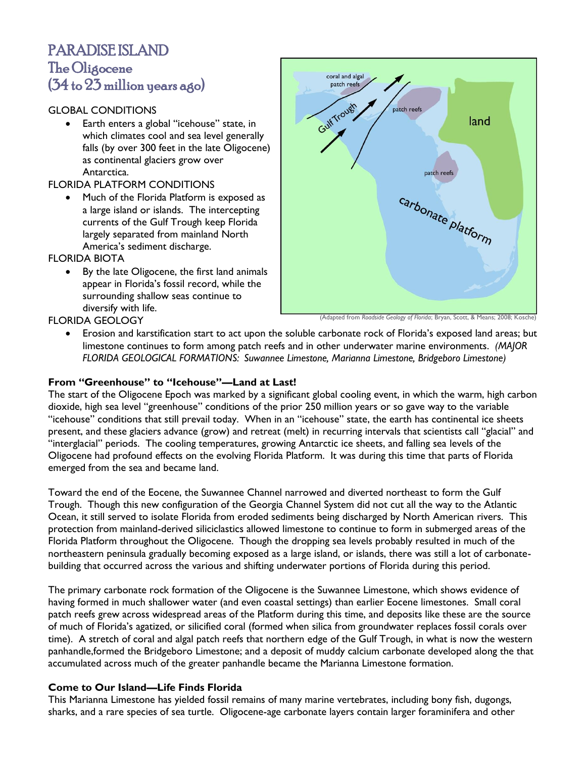## PARADISE ISLAND The Oligocene (34 to 23 million years ago)

#### GLOBAL CONDITIONS

 Earth enters a global "icehouse" state, in which climates cool and sea level generally falls (by over 300 feet in the late Oligocene) as continental glaciers grow over Antarctica.

#### FLORIDA PLATFORM CONDITIONS

• Much of the Florida Platform is exposed as a large island or islands. The intercepting currents of the Gulf Trough keep Florida largely separated from mainland North America's sediment discharge.

FLORIDA BIOTA

 By the late Oligocene, the first land animals appear in Florida's fossil record, while the surrounding shallow seas continue to diversify with life.



(Adapted from *Roadside Geology of Florida*; Bryan, Scott, & Means; 2008; Kosche)

- FLORIDA GEOLOGY
	- Erosion and karstification start to act upon the soluble carbonate rock of Florida's exposed land areas; but limestone continues to form among patch reefs and in other underwater marine environments. *(MAJOR FLORIDA GEOLOGICAL FORMATIONS: Suwannee Limestone, Marianna Limestone, Bridgeboro Limestone)*

#### **From "Greenhouse" to "Icehouse"—Land at Last!**

The start of the Oligocene Epoch was marked by a significant global cooling event, in which the warm, high carbon dioxide, high sea level "greenhouse" conditions of the prior 250 million years or so gave way to the variable "icehouse" conditions that still prevail today. When in an "icehouse" state, the earth has continental ice sheets present, and these glaciers advance (grow) and retreat (melt) in recurring intervals that scientists call "glacial" and "interglacial" periods. The cooling temperatures, growing Antarctic ice sheets, and falling sea levels of the Oligocene had profound effects on the evolving Florida Platform. It was during this time that parts of Florida emerged from the sea and became land.

Toward the end of the Eocene, the Suwannee Channel narrowed and diverted northeast to form the Gulf Trough. Though this new configuration of the Georgia Channel System did not cut all the way to the Atlantic Ocean, it still served to isolate Florida from eroded sediments being discharged by North American rivers. This protection from mainland-derived siliciclastics allowed limestone to continue to form in submerged areas of the Florida Platform throughout the Oligocene. Though the dropping sea levels probably resulted in much of the northeastern peninsula gradually becoming exposed as a large island, or islands, there was still a lot of carbonatebuilding that occurred across the various and shifting underwater portions of Florida during this period.

The primary carbonate rock formation of the Oligocene is the Suwannee Limestone, which shows evidence of having formed in much shallower water (and even coastal settings) than earlier Eocene limestones. Small coral patch reefs grew across widespread areas of the Platform during this time, and deposits like these are the source of much of Florida's agatized, or silicified coral (formed when silica from groundwater replaces fossil corals over time). A stretch of coral and algal patch reefs that northern edge of the Gulf Trough, in what is now the western panhandle,formed the Bridgeboro Limestone; and a deposit of muddy calcium carbonate developed along the that accumulated across much of the greater panhandle became the Marianna Limestone formation.

#### **Come to Our Island—Life Finds Florida**

This Marianna Limestone has yielded fossil remains of many marine vertebrates, including bony fish, dugongs, sharks, and a rare species of sea turtle. Oligocene-age carbonate layers contain larger foraminifera and other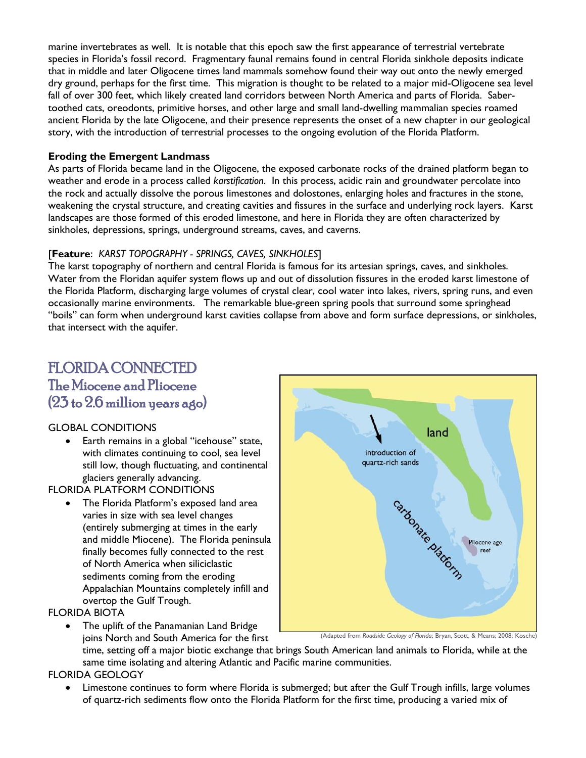marine invertebrates as well. It is notable that this epoch saw the first appearance of terrestrial vertebrate species in Florida's fossil record. Fragmentary faunal remains found in central Florida sinkhole deposits indicate that in middle and later Oligocene times land mammals somehow found their way out onto the newly emerged dry ground, perhaps for the first time. This migration is thought to be related to a major mid-Oligocene sea level fall of over 300 feet, which likely created land corridors between North America and parts of Florida. Sabertoothed cats, oreodonts, primitive horses, and other large and small land-dwelling mammalian species roamed ancient Florida by the late Oligocene, and their presence represents the onset of a new chapter in our geological story, with the introduction of terrestrial processes to the ongoing evolution of the Florida Platform.

#### **Eroding the Emergent Landmass**

As parts of Florida became land in the Oligocene, the exposed carbonate rocks of the drained platform began to weather and erode in a process called *karstification*. In this process, acidic rain and groundwater percolate into the rock and actually dissolve the porous limestones and dolostones, enlarging holes and fractures in the stone, weakening the crystal structure, and creating cavities and fissures in the surface and underlying rock layers. Karst landscapes are those formed of this eroded limestone, and here in Florida they are often characterized by sinkholes, depressions, springs, underground streams, caves, and caverns.

#### [**Feature**: *KARST TOPOGRAPHY - SPRINGS, CAVES, SINKHOLES*]

The karst topography of northern and central Florida is famous for its artesian springs, caves, and sinkholes. Water from the Floridan aquifer system flows up and out of dissolution fissures in the eroded karst limestone of the Florida Platform, discharging large volumes of crystal clear, cool water into lakes, rivers, spring runs, and even occasionally marine environments. The remarkable blue-green spring pools that surround some springhead "boils" can form when underground karst cavities collapse from above and form surface depressions, or sinkholes, that intersect with the aquifer.

## FLORIDA CONNECTED The Miocene and Pliocene (23 to 2.6 million years ago)

#### GLOBAL CONDITIONS

• Earth remains in a global "icehouse" state, with climates continuing to cool, sea level still low, though fluctuating, and continental glaciers generally advancing.

#### FLORIDA PLATFORM CONDITIONS

 The Florida Platform's exposed land area varies in size with sea level changes (entirely submerging at times in the early and middle Miocene). The Florida peninsula finally becomes fully connected to the rest of North America when siliciclastic sediments coming from the eroding Appalachian Mountains completely infill and overtop the Gulf Trough.

#### FLORIDA BIOTA

• The uplift of the Panamanian Land Bridge joins North and South America for the first



time, setting off a major biotic exchange that brings South American land animals to Florida, while at the same time isolating and altering Atlantic and Pacific marine communities.

#### FLORIDA GEOLOGY

 Limestone continues to form where Florida is submerged; but after the Gulf Trough infills, large volumes of quartz-rich sediments flow onto the Florida Platform for the first time, producing a varied mix of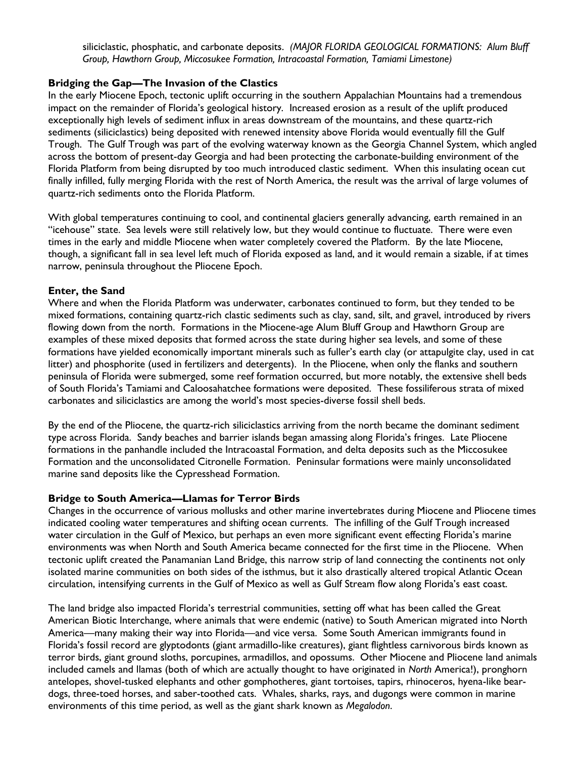siliciclastic, phosphatic, and carbonate deposits. *(MAJOR FLORIDA GEOLOGICAL FORMATIONS: Alum Bluff Group, Hawthorn Group, Miccosukee Formation, Intracoastal Formation, Tamiami Limestone)*

#### **Bridging the Gap—The Invasion of the Clastics**

In the early Miocene Epoch, tectonic uplift occurring in the southern Appalachian Mountains had a tremendous impact on the remainder of Florida's geological history. Increased erosion as a result of the uplift produced exceptionally high levels of sediment influx in areas downstream of the mountains, and these quartz-rich sediments (siliciclastics) being deposited with renewed intensity above Florida would eventually fill the Gulf Trough. The Gulf Trough was part of the evolving waterway known as the Georgia Channel System, which angled across the bottom of present-day Georgia and had been protecting the carbonate-building environment of the Florida Platform from being disrupted by too much introduced clastic sediment. When this insulating ocean cut finally infilled, fully merging Florida with the rest of North America, the result was the arrival of large volumes of quartz-rich sediments onto the Florida Platform.

With global temperatures continuing to cool, and continental glaciers generally advancing, earth remained in an "icehouse" state. Sea levels were still relatively low, but they would continue to fluctuate. There were even times in the early and middle Miocene when water completely covered the Platform. By the late Miocene, though, a significant fall in sea level left much of Florida exposed as land, and it would remain a sizable, if at times narrow, peninsula throughout the Pliocene Epoch.

#### **Enter, the Sand**

Where and when the Florida Platform was underwater, carbonates continued to form, but they tended to be mixed formations, containing quartz-rich clastic sediments such as clay, sand, silt, and gravel, introduced by rivers flowing down from the north. Formations in the Miocene-age Alum Bluff Group and Hawthorn Group are examples of these mixed deposits that formed across the state during higher sea levels, and some of these formations have yielded economically important minerals such as fuller's earth clay (or attapulgite clay, used in cat litter) and phosphorite (used in fertilizers and detergents). In the Pliocene, when only the flanks and southern peninsula of Florida were submerged, some reef formation occurred, but more notably, the extensive shell beds of South Florida's Tamiami and Caloosahatchee formations were deposited. These fossiliferous strata of mixed carbonates and siliciclastics are among the world's most species-diverse fossil shell beds.

By the end of the Pliocene, the quartz-rich siliciclastics arriving from the north became the dominant sediment type across Florida. Sandy beaches and barrier islands began amassing along Florida's fringes. Late Pliocene formations in the panhandle included the Intracoastal Formation, and delta deposits such as the Miccosukee Formation and the unconsolidated Citronelle Formation. Peninsular formations were mainly unconsolidated marine sand deposits like the Cypresshead Formation.

#### **Bridge to South America—Llamas for Terror Birds**

Changes in the occurrence of various mollusks and other marine invertebrates during Miocene and Pliocene times indicated cooling water temperatures and shifting ocean currents. The infilling of the Gulf Trough increased water circulation in the Gulf of Mexico, but perhaps an even more significant event effecting Florida's marine environments was when North and South America became connected for the first time in the Pliocene. When tectonic uplift created the Panamanian Land Bridge, this narrow strip of land connecting the continents not only isolated marine communities on both sides of the isthmus, but it also drastically altered tropical Atlantic Ocean circulation, intensifying currents in the Gulf of Mexico as well as Gulf Stream flow along Florida's east coast.

The land bridge also impacted Florida's terrestrial communities, setting off what has been called the Great American Biotic Interchange, where animals that were endemic (native) to South American migrated into North America—many making their way into Florida—and vice versa. Some South American immigrants found in Florida's fossil record are glyptodonts (giant armadillo-like creatures), giant flightless carnivorous birds known as terror birds, giant ground sloths, porcupines, armadillos, and opossums. Other Miocene and Pliocene land animals included camels and llamas (both of which are actually thought to have originated in *North* America!), pronghorn antelopes, shovel-tusked elephants and other gomphotheres, giant tortoises, tapirs, rhinoceros, hyena-like beardogs, three-toed horses, and saber-toothed cats. Whales, sharks, rays, and dugongs were common in marine environments of this time period, as well as the giant shark known as *Megalodon*.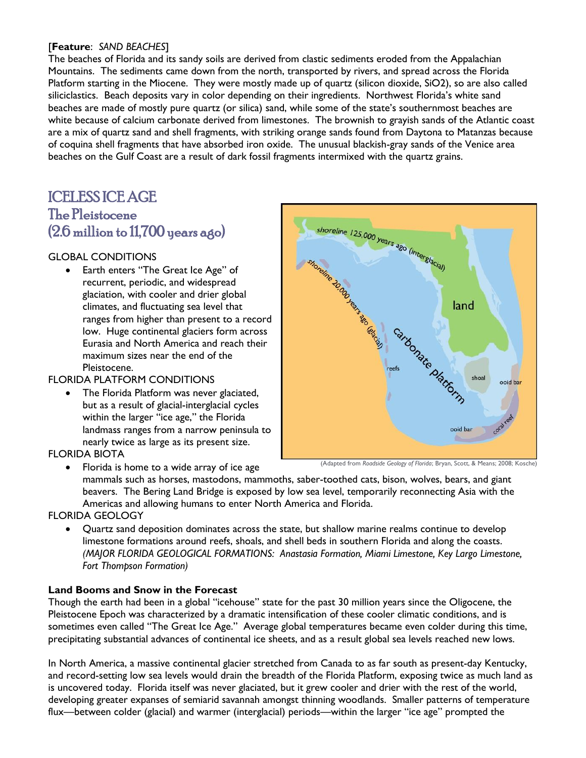#### [**Feature**: *SAND BEACHES*]

The beaches of Florida and its sandy soils are derived from clastic sediments eroded from the Appalachian Mountains. The sediments came down from the north, transported by rivers, and spread across the Florida Platform starting in the Miocene. They were mostly made up of quartz (silicon dioxide, SiO2), so are also called siliciclastics. Beach deposits vary in color depending on their ingredients. Northwest Florida's white sand beaches are made of mostly pure quartz (or silica) sand, while some of the state's southernmost beaches are white because of calcium carbonate derived from limestones. The brownish to grayish sands of the Atlantic coast are a mix of quartz sand and shell fragments, with striking orange sands found from Daytona to Matanzas because of coquina shell fragments that have absorbed iron oxide. The unusual blackish-gray sands of the Venice area beaches on the Gulf Coast are a result of dark fossil fragments intermixed with the quartz grains.

## ICELESS ICE AGE The Pleistocene (2.6 million to 11,700 years ago)

#### GLOBAL CONDITIONS

 Earth enters "The Great Ice Age" of recurrent, periodic, and widespread glaciation, with cooler and drier global climates, and fluctuating sea level that ranges from higher than present to a record low. Huge continental glaciers form across Eurasia and North America and reach their maximum sizes near the end of the Pleistocene.

#### FLORIDA PLATFORM CONDITIONS

 The Florida Platform was never glaciated, but as a result of glacial-interglacial cycles within the larger "ice age," the Florida landmass ranges from a narrow peninsula to nearly twice as large as its present size.

#### FLORIDA BIOTA



Florida is home to a wide array of ice age

mammals such as horses, mastodons, mammoths, saber-toothed cats, bison, wolves, bears, and giant beavers. The Bering Land Bridge is exposed by low sea level, temporarily reconnecting Asia with the Americas and allowing humans to enter North America and Florida.

#### FLORIDA GEOLOGY

 Quartz sand deposition dominates across the state, but shallow marine realms continue to develop limestone formations around reefs, shoals, and shell beds in southern Florida and along the coasts. *(MAJOR FLORIDA GEOLOGICAL FORMATIONS: Anastasia Formation, Miami Limestone, Key Largo Limestone, Fort Thompson Formation)*

#### **Land Booms and Snow in the Forecast**

Though the earth had been in a global "icehouse" state for the past 30 million years since the Oligocene, the Pleistocene Epoch was characterized by a dramatic intensification of these cooler climatic conditions, and is sometimes even called "The Great Ice Age." Average global temperatures became even colder during this time, precipitating substantial advances of continental ice sheets, and as a result global sea levels reached new lows.

In North America, a massive continental glacier stretched from Canada to as far south as present-day Kentucky, and record-setting low sea levels would drain the breadth of the Florida Platform, exposing twice as much land as is uncovered today. Florida itself was never glaciated, but it grew cooler and drier with the rest of the world, developing greater expanses of semiarid savannah amongst thinning woodlands. Smaller patterns of temperature flux—between colder (glacial) and warmer (interglacial) periods—within the larger "ice age" prompted the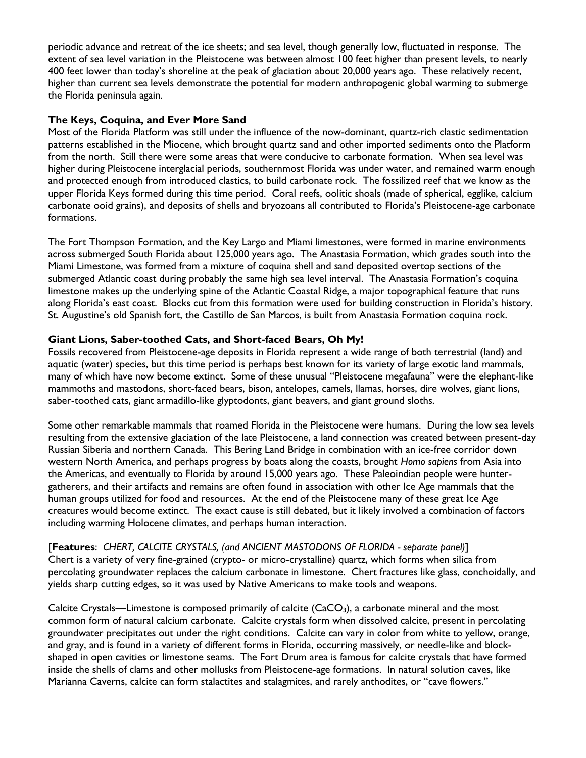periodic advance and retreat of the ice sheets; and sea level, though generally low, fluctuated in response. The extent of sea level variation in the Pleistocene was between almost 100 feet higher than present levels, to nearly 400 feet lower than today's shoreline at the peak of glaciation about 20,000 years ago. These relatively recent, higher than current sea levels demonstrate the potential for modern anthropogenic global warming to submerge the Florida peninsula again.

#### **The Keys, Coquina, and Ever More Sand**

Most of the Florida Platform was still under the influence of the now-dominant, quartz-rich clastic sedimentation patterns established in the Miocene, which brought quartz sand and other imported sediments onto the Platform from the north. Still there were some areas that were conducive to carbonate formation. When sea level was higher during Pleistocene interglacial periods, southernmost Florida was under water, and remained warm enough and protected enough from introduced clastics, to build carbonate rock. The fossilized reef that we know as the upper Florida Keys formed during this time period. Coral reefs, oolitic shoals (made of spherical, egglike, calcium carbonate ooid grains), and deposits of shells and bryozoans all contributed to Florida's Pleistocene-age carbonate formations.

The Fort Thompson Formation, and the Key Largo and Miami limestones, were formed in marine environments across submerged South Florida about 125,000 years ago. The Anastasia Formation, which grades south into the Miami Limestone, was formed from a mixture of coquina shell and sand deposited overtop sections of the submerged Atlantic coast during probably the same high sea level interval. The Anastasia Formation's coquina limestone makes up the underlying spine of the Atlantic Coastal Ridge, a major topographical feature that runs along Florida's east coast. Blocks cut from this formation were used for building construction in Florida's history. St. Augustine's old Spanish fort, the Castillo de San Marcos, is built from Anastasia Formation coquina rock.

#### **Giant Lions, Saber-toothed Cats, and Short-faced Bears, Oh My!**

Fossils recovered from Pleistocene-age deposits in Florida represent a wide range of both terrestrial (land) and aquatic (water) species, but this time period is perhaps best known for its variety of large exotic land mammals, many of which have now become extinct. Some of these unusual "Pleistocene megafauna" were the elephant-like mammoths and mastodons, short-faced bears, bison, antelopes, camels, llamas, horses, dire wolves, giant lions, saber-toothed cats, giant armadillo-like glyptodonts, giant beavers, and giant ground sloths.

Some other remarkable mammals that roamed Florida in the Pleistocene were humans. During the low sea levels resulting from the extensive glaciation of the late Pleistocene, a land connection was created between present-day Russian Siberia and northern Canada. This Bering Land Bridge in combination with an ice-free corridor down western North America, and perhaps progress by boats along the coasts, brought *Homo sapiens* from Asia into the Americas, and eventually to Florida by around 15,000 years ago. These Paleoindian people were huntergatherers, and their artifacts and remains are often found in association with other Ice Age mammals that the human groups utilized for food and resources. At the end of the Pleistocene many of these great Ice Age creatures would become extinct. The exact cause is still debated, but it likely involved a combination of factors including warming Holocene climates, and perhaps human interaction.

[**Features**: *CHERT, CALCITE CRYSTALS, (and ANCIENT MASTODONS OF FLORIDA - separate panel)*] Chert is a variety of very fine-grained (crypto- or micro-crystalline) quartz, which forms when silica from percolating groundwater replaces the calcium carbonate in limestone. Chert fractures like glass, conchoidally, and yields sharp cutting edges, so it was used by Native Americans to make tools and weapons.

Calcite Crystals—Limestone is composed primarily of calcite (CaCO3), a carbonate mineral and the most common form of natural calcium carbonate. Calcite crystals form when dissolved calcite, present in percolating groundwater precipitates out under the right conditions. Calcite can vary in color from white to yellow, orange, and gray, and is found in a variety of different forms in Florida, occurring massively, or needle-like and blockshaped in open cavities or limestone seams. The Fort Drum area is famous for calcite crystals that have formed inside the shells of clams and other mollusks from Pleistocene-age formations. In natural solution caves, like Marianna Caverns, calcite can form stalactites and stalagmites, and rarely anthodites, or "cave flowers."